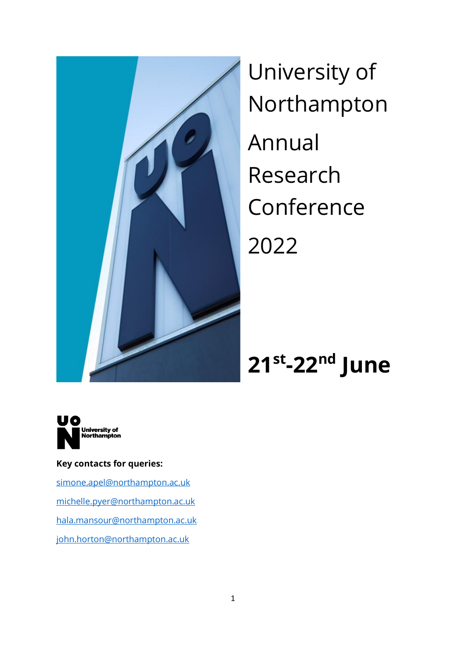

University of Northampton Annual Research Conference 2022

# **21st -22nd June**



### **Key contacts for queries:**

[simone.apel@northampton.ac.uk](mailto:simone.apel@northampton.ac.uk) [michelle.pyer@northampton.ac.uk](mailto:michelle.pyer@northampton.ac.uk) [hala.mansour@northampton.ac.uk](mailto:hala.mansour@northampton.ac.uk) [john.horton@northampton.ac.uk](mailto:john.horton@northampton.ac.uk)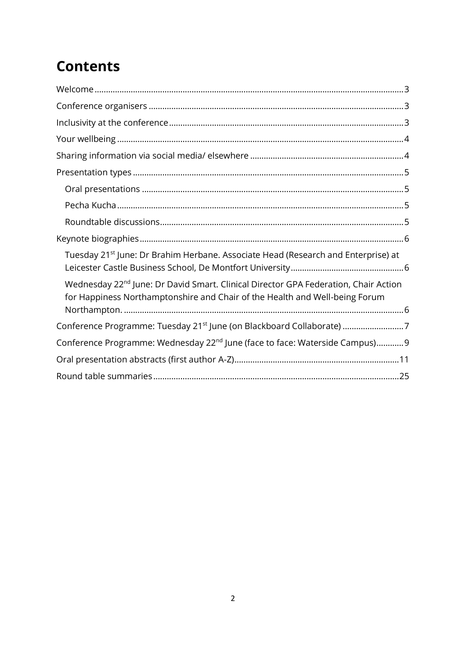## **Contents**

| Tuesday 21 <sup>st</sup> June: Dr Brahim Herbane. Associate Head (Research and Enterprise) at                                                                                  |
|--------------------------------------------------------------------------------------------------------------------------------------------------------------------------------|
| Wednesday 22 <sup>nd</sup> June: Dr David Smart. Clinical Director GPA Federation, Chair Action<br>for Happiness Northamptonshire and Chair of the Health and Well-being Forum |
|                                                                                                                                                                                |
| Conference Programme: Wednesday 22 <sup>nd</sup> June (face to face: Waterside Campus)9                                                                                        |
|                                                                                                                                                                                |
|                                                                                                                                                                                |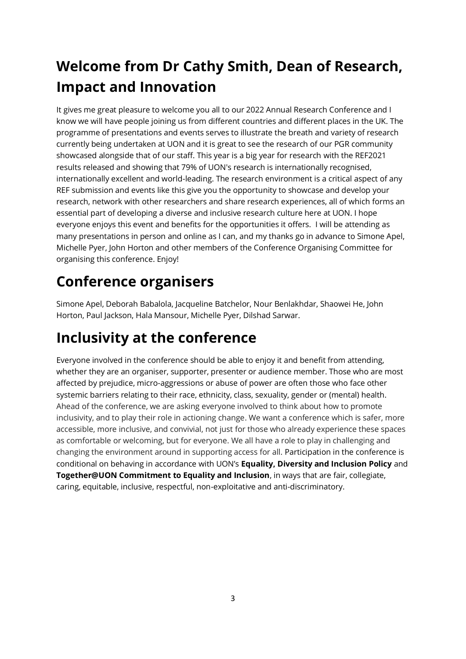## <span id="page-2-0"></span>**Welcome from Dr Cathy Smith, Dean of Research, Impact and Innovation**

It gives me great pleasure to welcome you all to our 2022 Annual Research Conference and I know we will have people joining us from different countries and different places in the UK. The programme of presentations and events serves to illustrate the breath and variety of research currently being undertaken at UON and it is great to see the research of our PGR community showcased alongside that of our staff. This year is a big year for research with the REF2021 results released and showing that 79% of UON's research is internationally recognised, internationally excellent and world-leading. The research environment is a critical aspect of any REF submission and events like this give you the opportunity to showcase and develop your research, network with other researchers and share research experiences, all of which forms an essential part of developing a diverse and inclusive research culture here at UON. I hope everyone enjoys this event and benefits for the opportunities it offers. I will be attending as many presentations in person and online as I can, and my thanks go in advance to Simone Apel, Michelle Pyer, John Horton and other members of the Conference Organising Committee for organising this conference. Enjoy!

### <span id="page-2-1"></span>**Conference organisers**

Simone Apel, Deborah Babalola, Jacqueline Batchelor, Nour Benlakhdar, Shaowei He, John Horton, Paul Jackson, Hala Mansour, Michelle Pyer, Dilshad Sarwar.

### <span id="page-2-2"></span>**Inclusivity at the conference**

<span id="page-2-3"></span>Everyone involved in the conference should be able to enjoy it and benefit from attending, whether they are an organiser, supporter, presenter or audience member. Those who are most affected by prejudice, micro-aggressions or abuse of power are often those who face other systemic barriers relating to their race, ethnicity, class, sexuality, gender or (mental) health. Ahead of the conference, we are asking everyone involved to think about how to promote inclusivity, and to play their role in actioning change. We want a conference which is safer, more accessible, more inclusive, and convivial, not just for those who already experience these spaces as comfortable or welcoming, but for everyone. We all have a role to play in challenging and changing the environment around in supporting access for all. Participation in the conference is conditional on behaving in accordance with UON's **Equality, Diversity and Inclusion Policy** and **Together@UON Commitment to Equality and Inclusion**, in ways that are fair, collegiate, caring, equitable, inclusive, respectful, non-exploitative and anti-discriminatory.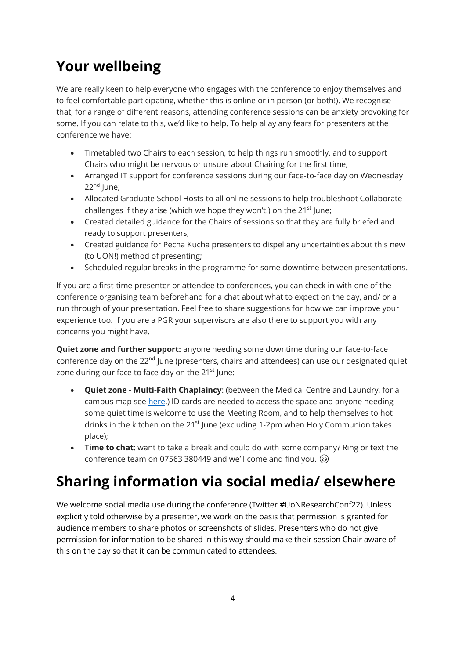## **Your wellbeing**

We are really keen to help everyone who engages with the conference to enjoy themselves and to feel comfortable participating, whether this is online or in person (or both!). We recognise that, for a range of different reasons, attending conference sessions can be anxiety provoking for some. If you can relate to this, we'd like to help. To help allay any fears for presenters at the conference we have:

- Timetabled two Chairs to each session, to help things run smoothly, and to support Chairs who might be nervous or unsure about Chairing for the first time;
- Arranged IT support for conference sessions during our face-to-face day on Wednesday  $22<sup>nd</sup>$  June;
- Allocated Graduate School Hosts to all online sessions to help troubleshoot Collaborate challenges if they arise (which we hope they won't!) on the  $21<sup>st</sup>$  June;
- Created detailed guidance for the Chairs of sessions so that they are fully briefed and ready to support presenters;
- Created guidance for Pecha Kucha presenters to dispel any uncertainties about this new (to UON!) method of presenting;
- Scheduled regular breaks in the programme for some downtime between presentations.

If you are a first-time presenter or attendee to conferences, you can check in with one of the conference organising team beforehand for a chat about what to expect on the day, and/ or a run through of your presentation. Feel free to share suggestions for how we can improve your experience too. If you are a PGR your supervisors are also there to support you with any concerns you might have.

**Quiet zone and further support:** anyone needing some downtime during our face-to-face conference day on the 22<sup>nd</sup> June (presenters, chairs and attendees) can use our designated quiet zone during our face to face day on the 21<sup>st</sup> June:

- **Quiet zone - Multi-Faith Chaplaincy**: (between the Medical Centre and Laundry, for a campus map see [here.](https://www.northampton.ac.uk/wp-content/uploads/2018/09/Waterside-Map.pdf)) ID cards are needed to access the space and anyone needing some quiet time is welcome to use the Meeting Room, and to help themselves to hot drinks in the kitchen on the 21<sup>st</sup> June (excluding 1-2pm when Holy Communion takes place);
- **Time to chat**: want to take a break and could do with some company? Ring or text the conference team on 07563 380449 and we'll come and find you.  $\circledcirc$

## <span id="page-3-0"></span>**Sharing information via social media/ elsewhere**

We welcome social media use during the conference (Twitter #UoNResearchConf22). Unless explicitly told otherwise by a presenter, we work on the basis that permission is granted for audience members to share photos or screenshots of slides. Presenters who do not give permission for information to be shared in this way should make their session Chair aware of this on the day so that it can be communicated to attendees.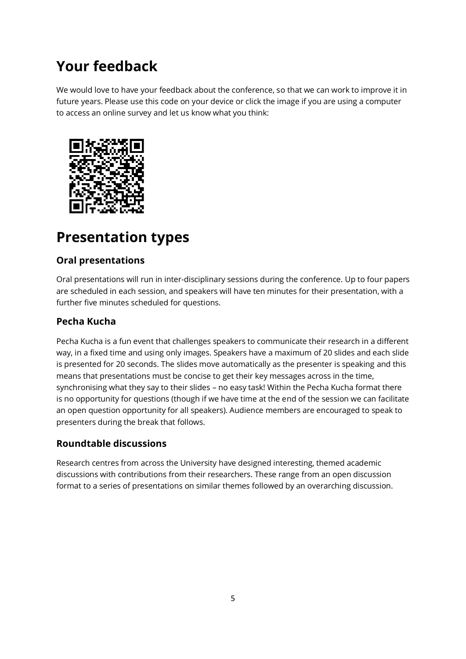### **Your feedback**

We would love to have your feedback about the conference, so that we can work to improve it in future years. Please use this code on your device or click the image if you are using a computer to access an online survey and let us know what you think:



### <span id="page-4-0"></span>**Presentation types**

### <span id="page-4-1"></span>**Oral presentations**

Oral presentations will run in inter-disciplinary sessions during the conference. Up to four papers are scheduled in each session, and speakers will have ten minutes for their presentation, with a further five minutes scheduled for questions.

### <span id="page-4-2"></span>**Pecha Kucha**

Pecha Kucha is a fun event that challenges speakers to communicate their research in a different way, in a fixed time and using only images. Speakers have a maximum of 20 slides and each slide is presented for 20 seconds. The slides move automatically as the presenter is speaking and this means that presentations must be concise to get their key messages across in the time, synchronising what they say to their slides – no easy task! Within the Pecha Kucha format there is no opportunity for questions (though if we have time at the end of the session we can facilitate an open question opportunity for all speakers). Audience members are encouraged to speak to presenters during the break that follows.

### <span id="page-4-3"></span>**Roundtable discussions**

Research centres from across the University have designed interesting, themed academic discussions with contributions from their researchers. These range from an open discussion format to a series of presentations on similar themes followed by an overarching discussion.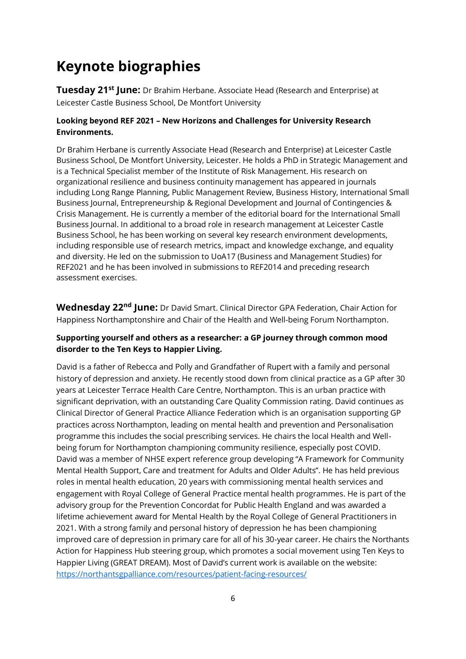### <span id="page-5-0"></span>**Keynote biographies**

<span id="page-5-1"></span>**Tuesday 21st June:** Dr Brahim Herbane. Associate Head (Research and Enterprise) at Leicester Castle Business School, De Montfort University

#### **Looking beyond REF 2021 – New Horizons and Challenges for University Research Environments.**

Dr Brahim Herbane is currently Associate Head (Research and Enterprise) at Leicester Castle Business School, De Montfort University, Leicester. He holds a PhD in Strategic Management and is a Technical Specialist member of the Institute of Risk Management. His research on organizational resilience and business continuity management has appeared in journals including Long Range Planning, Public Management Review, Business History, International Small Business Journal, Entrepreneurship & Regional Development and Journal of Contingencies & Crisis Management. He is currently a member of the editorial board for the International Small Business Journal. In additional to a broad role in research management at Leicester Castle Business School, he has been working on several key research environment developments, including responsible use of research metrics, impact and knowledge exchange, and equality and diversity. He led on the submission to UoA17 (Business and Management Studies) for REF2021 and he has been involved in submissions to REF2014 and preceding research assessment exercises.

<span id="page-5-2"></span>**Wednesday 22nd June:** Dr David Smart. Clinical Director GPA Federation, Chair Action for Happiness Northamptonshire and Chair of the Health and Well-being Forum Northampton.

#### **Supporting yourself and others as a researcher: a GP journey through common mood disorder to the Ten Keys to Happier Living.**

David is a father of Rebecca and Polly and Grandfather of Rupert with a family and personal history of depression and anxiety. He recently stood down from clinical practice as a GP after 30 years at Leicester Terrace Health Care Centre, Northampton. This is an urban practice with significant deprivation, with an outstanding Care Quality Commission rating. David continues as Clinical Director of General Practice Alliance Federation which is an organisation supporting GP practices across Northampton, leading on mental health and prevention and Personalisation programme this includes the social prescribing services. He chairs the local Health and Wellbeing forum for Northampton championing community resilience, especially post COVID. David was a member of NHSE expert reference group developing "A Framework for Community Mental Health Support, Care and treatment for Adults and Older Adults". He has held previous roles in mental health education, 20 years with commissioning mental health services and engagement with Royal College of General Practice mental health programmes. He is part of the advisory group for the Prevention Concordat for Public Health England and was awarded a lifetime achievement award for Mental Health by the Royal College of General Practitioners in 2021. With a strong family and personal history of depression he has been championing improved care of depression in primary care for all of his 30-year career. He chairs the Northants Action for Happiness Hub steering group, which promotes a social movement using Ten Keys to Happier Living (GREAT DREAM). Most of David's current work is available on the website: [https://northantsgpalliance.com/resources/patient-facing-resources/](https://protect-eu.mimecast.com/s/7QwuCzBKZuRkjj1FXCDXn?domain=northantsgpalliance.com)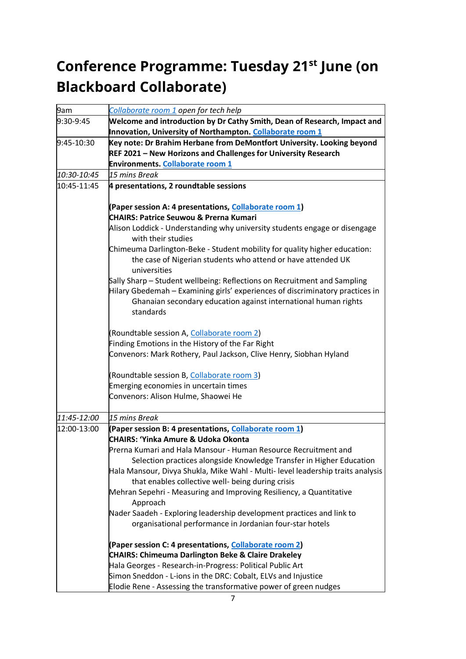## <span id="page-6-0"></span>**Conference Programme: Tuesday 21st June (on Blackboard Collaborate)**

| 9am         | Collaborate room 1 open for tech help                                                                                             |
|-------------|-----------------------------------------------------------------------------------------------------------------------------------|
| 9:30-9:45   | Welcome and introduction by Dr Cathy Smith, Dean of Research, Impact and                                                          |
|             | Innovation, University of Northampton. Collaborate room 1                                                                         |
| 9:45-10:30  | Key note: Dr Brahim Herbane from DeMontfort University. Looking beyond                                                            |
|             | REF 2021 - New Horizons and Challenges for University Research                                                                    |
|             | Environments. Collaborate room 1                                                                                                  |
| 10:30-10:45 | 15 mins Break                                                                                                                     |
| 10:45-11:45 | 4 presentations, 2 roundtable sessions                                                                                            |
|             | (Paper session A: 4 presentations, Collaborate room 1)                                                                            |
|             | <b>CHAIRS: Patrice Seuwou &amp; Prerna Kumari</b>                                                                                 |
|             | Alison Loddick - Understanding why university students engage or disengage<br>with their studies                                  |
|             | Chimeuma Darlington-Beke - Student mobility for quality higher education:                                                         |
|             | the case of Nigerian students who attend or have attended UK<br>universities                                                      |
|             | Sally Sharp – Student wellbeing: Reflections on Recruitment and Sampling                                                          |
|             | Hilary Gbedemah - Examining girls' experiences of discriminatory practices in                                                     |
|             | Ghanaian secondary education against international human rights<br>standards                                                      |
|             | (Roundtable session A, Collaborate room 2)                                                                                        |
|             | Finding Emotions in the History of the Far Right                                                                                  |
|             | Convenors: Mark Rothery, Paul Jackson, Clive Henry, Siobhan Hyland                                                                |
|             | (Roundtable session B, Collaborate room 3)                                                                                        |
|             | Emerging economies in uncertain times                                                                                             |
|             | Convenors: Alison Hulme, Shaowei He                                                                                               |
| 11:45-12:00 | 15 mins Break                                                                                                                     |
| 12:00-13:00 | (Paper session B: 4 presentations, Collaborate room 1)                                                                            |
|             | <b>CHAIRS: 'Yinka Amure &amp; Udoka Okonta</b>                                                                                    |
|             | Prerna Kumari and Hala Mansour - Human Resource Recruitment and                                                                   |
|             | Selection practices alongside Knowledge Transfer in Higher Education                                                              |
|             | Hala Mansour, Divya Shukla, Mike Wahl - Multi- level leadership traits analysis                                                   |
|             | that enables collective well- being during crisis                                                                                 |
|             | Mehran Sepehri - Measuring and Improving Resiliency, a Quantitative                                                               |
|             | Approach                                                                                                                          |
|             | Nader Saadeh - Exploring leadership development practices and link to<br>organisational performance in Jordanian four-star hotels |
|             | (Paper session C: 4 presentations, Collaborate room 2)                                                                            |
|             | <b>CHAIRS: Chimeuma Darlington Beke &amp; Claire Drakeley</b>                                                                     |
|             | Hala Georges - Research-in-Progress: Political Public Art                                                                         |
|             | Simon Sneddon - L-ions in the DRC: Cobalt, ELVs and Injustice                                                                     |
|             | Elodie Rene - Assessing the transformative power of green nudges                                                                  |
|             |                                                                                                                                   |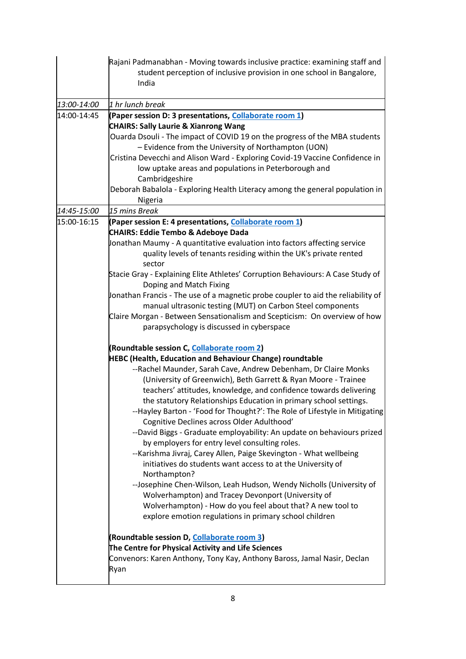|             | Rajani Padmanabhan - Moving towards inclusive practice: examining staff and<br>student perception of inclusive provision in one school in Bangalore,<br>India                                                                                                                                                                                                                                                                                                                                                                                                                                                                                                                                                                                                                                                                                                                                                                                                                                                                                                       |
|-------------|---------------------------------------------------------------------------------------------------------------------------------------------------------------------------------------------------------------------------------------------------------------------------------------------------------------------------------------------------------------------------------------------------------------------------------------------------------------------------------------------------------------------------------------------------------------------------------------------------------------------------------------------------------------------------------------------------------------------------------------------------------------------------------------------------------------------------------------------------------------------------------------------------------------------------------------------------------------------------------------------------------------------------------------------------------------------|
| 13:00-14:00 | 1 hr lunch break                                                                                                                                                                                                                                                                                                                                                                                                                                                                                                                                                                                                                                                                                                                                                                                                                                                                                                                                                                                                                                                    |
| 14:00-14:45 | (Paper session D: 3 presentations, Collaborate room 1)<br><b>CHAIRS: Sally Laurie &amp; Xianrong Wang</b><br>Ouarda Dsouli - The impact of COVID 19 on the progress of the MBA students<br>- Evidence from the University of Northampton (UON)<br>Cristina Devecchi and Alison Ward - Exploring Covid-19 Vaccine Confidence in<br>low uptake areas and populations in Peterborough and<br>Cambridgeshire<br>Deborah Babalola - Exploring Health Literacy among the general population in<br>Nigeria                                                                                                                                                                                                                                                                                                                                                                                                                                                                                                                                                                 |
| 14:45-15:00 | 15 mins Break                                                                                                                                                                                                                                                                                                                                                                                                                                                                                                                                                                                                                                                                                                                                                                                                                                                                                                                                                                                                                                                       |
| 15:00-16:15 | (Paper session E: 4 presentations, Collaborate room 1)<br><b>CHAIRS: Eddie Tembo &amp; Adeboye Dada</b><br>Jonathan Maumy - A quantitative evaluation into factors affecting service<br>quality levels of tenants residing within the UK's private rented                                                                                                                                                                                                                                                                                                                                                                                                                                                                                                                                                                                                                                                                                                                                                                                                           |
|             | sector<br>Stacie Gray - Explaining Elite Athletes' Corruption Behaviours: A Case Study of<br>Doping and Match Fixing<br>Jonathan Francis - The use of a magnetic probe coupler to aid the reliability of<br>manual ultrasonic testing (MUT) on Carbon Steel components<br>Claire Morgan - Between Sensationalism and Scepticism: On overview of how<br>parapsychology is discussed in cyberspace                                                                                                                                                                                                                                                                                                                                                                                                                                                                                                                                                                                                                                                                    |
|             | (Roundtable session C, <b>Collaborate room 2)</b><br><b>HEBC (Health, Education and Behaviour Change) roundtable</b><br>--Rachel Maunder, Sarah Cave, Andrew Debenham, Dr Claire Monks<br>(University of Greenwich), Beth Garrett & Ryan Moore - Trainee<br>teachers' attitudes, knowledge, and confidence towards delivering<br>the statutory Relationships Education in primary school settings.<br>--Hayley Barton - 'Food for Thought?': The Role of Lifestyle in Mitigating<br>Cognitive Declines across Older Adulthood'<br>--David Biggs - Graduate employability: An update on behaviours prized<br>by employers for entry level consulting roles.<br>--Karishma Jivraj, Carey Allen, Paige Skevington - What wellbeing<br>initiatives do students want access to at the University of<br>Northampton?<br>--Josephine Chen-Wilson, Leah Hudson, Wendy Nicholls (University of<br>Wolverhampton) and Tracey Devonport (University of<br>Wolverhampton) - How do you feel about that? A new tool to<br>explore emotion regulations in primary school children |
|             | (Roundtable session D, Collaborate room 3)<br>The Centre for Physical Activity and Life Sciences<br>Convenors: Karen Anthony, Tony Kay, Anthony Baross, Jamal Nasir, Declan<br>Ryan                                                                                                                                                                                                                                                                                                                                                                                                                                                                                                                                                                                                                                                                                                                                                                                                                                                                                 |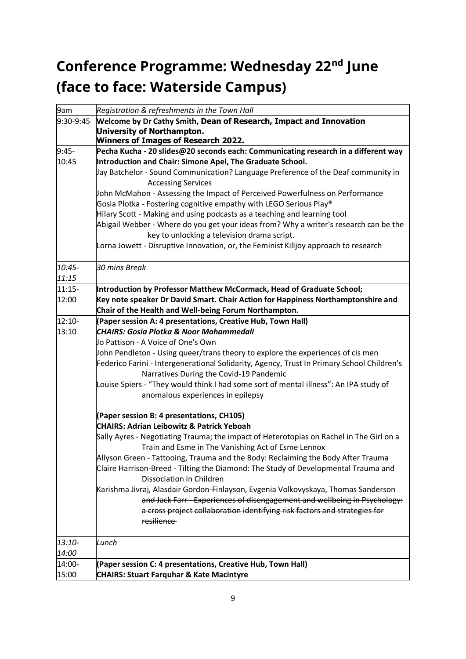## <span id="page-8-0"></span>**Conference Programme: Wednesday 22nd June (face to face: Waterside Campus)**

| 9am       | Registration & refreshments in the Town Hall                                                                                                  |
|-----------|-----------------------------------------------------------------------------------------------------------------------------------------------|
| 9:30-9:45 | Welcome by Dr Cathy Smith, Dean of Research, Impact and Innovation                                                                            |
|           | <b>University of Northampton.</b>                                                                                                             |
|           | <b>Winners of Images of Research 2022.</b>                                                                                                    |
| $9:45-$   | Pecha Kucha - 20 slides@20 seconds each: Communicating research in a different way                                                            |
| 10:45     | Introduction and Chair: Simone Apel, The Graduate School.                                                                                     |
|           | Jay Batchelor - Sound Communication? Language Preference of the Deaf community in                                                             |
|           | <b>Accessing Services</b>                                                                                                                     |
|           | John McMahon - Assessing the Impact of Perceived Powerfulness on Performance                                                                  |
|           | Gosia Plotka - Fostering cognitive empathy with LEGO Serious Play <sup>®</sup>                                                                |
|           | Hilary Scott - Making and using podcasts as a teaching and learning tool                                                                      |
|           | Abigail Webber - Where do you get your ideas from? Why a writer's research can be the                                                         |
|           | key to unlocking a television drama script.                                                                                                   |
|           | Lorna Jowett - Disruptive Innovation, or, the Feminist Killjoy approach to research                                                           |
| 10:45-    | 30 mins Break                                                                                                                                 |
| 11:15     |                                                                                                                                               |
| 11:15-    | Introduction by Professor Matthew McCormack, Head of Graduate School;                                                                         |
| 12:00     | Key note speaker Dr David Smart. Chair Action for Happiness Northamptonshire and                                                              |
|           | Chair of the Health and Well-being Forum Northampton.                                                                                         |
| 12:10-    | (Paper session A: 4 presentations, Creative Hub, Town Hall)                                                                                   |
| 13:10     | <b>CHAIRS: Gosia Plotka &amp; Noor Mohammedali</b>                                                                                            |
|           | Jo Pattison - A Voice of One's Own                                                                                                            |
|           | John Pendleton - Using queer/trans theory to explore the experiences of cis men                                                               |
|           | Federico Farini - Intergenerational Solidarity, Agency, Trust In Primary School Children's                                                    |
|           | Narratives During the Covid-19 Pandemic                                                                                                       |
|           | Louise Spiers - "They would think I had some sort of mental illness": An IPA study of                                                         |
|           | anomalous experiences in epilepsy                                                                                                             |
|           | (Paper session B: 4 presentations, CH105)                                                                                                     |
|           | <b>CHAIRS: Adrian Leibowitz &amp; Patrick Yeboah</b>                                                                                          |
|           | Sally Ayres - Negotiating Trauma; the impact of Heterotopias on Rachel in The Girl on a<br>Train and Esme in The Vanishing Act of Esme Lennox |
|           | Allyson Green - Tattooing, Trauma and the Body: Reclaiming the Body After Trauma                                                              |
|           | Claire Harrison-Breed - Tilting the Diamond: The Study of Developmental Trauma and                                                            |
|           | Dissociation in Children                                                                                                                      |
|           | Karishma Jivraj, Alasdair Gordon-Finlayson, Evgenia Volkovyskaya, Thomas Sanderson                                                            |
|           | and Jack Farr - Experiences of disengagement and wellbeing in Psychology:                                                                     |
|           | a cross project collaboration identifying risk factors and strategies for                                                                     |
|           | resilience                                                                                                                                    |
| 13:10-    | Lunch                                                                                                                                         |
| 14:00     |                                                                                                                                               |
| 14:00-    | (Paper session C: 4 presentations, Creative Hub, Town Hall)                                                                                   |
| 15:00     | <b>CHAIRS: Stuart Farquhar &amp; Kate Macintyre</b>                                                                                           |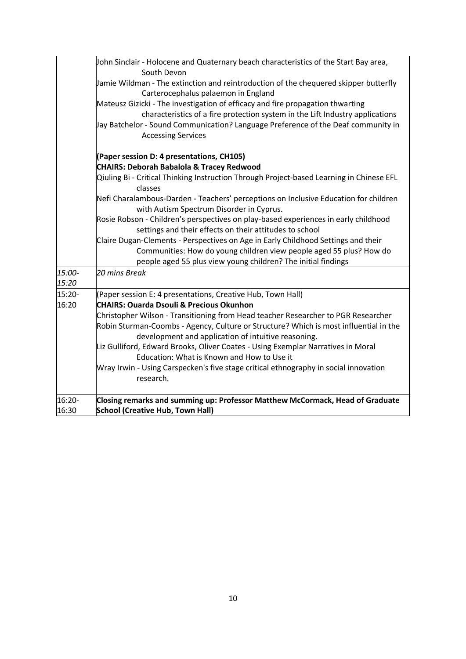|                 | John Sinclair - Holocene and Quaternary beach characteristics of the Start Bay area,<br>South Devon                                                                                                                                                                                                                                                                                                                                                                                                                                                                                                                                                        |
|-----------------|------------------------------------------------------------------------------------------------------------------------------------------------------------------------------------------------------------------------------------------------------------------------------------------------------------------------------------------------------------------------------------------------------------------------------------------------------------------------------------------------------------------------------------------------------------------------------------------------------------------------------------------------------------|
|                 | Jamie Wildman - The extinction and reintroduction of the chequered skipper butterfly<br>Carterocephalus palaemon in England<br>Mateusz Gizicki - The investigation of efficacy and fire propagation thwarting<br>characteristics of a fire protection system in the Lift Industry applications<br>Jay Batchelor - Sound Communication? Language Preference of the Deaf community in<br><b>Accessing Services</b>                                                                                                                                                                                                                                           |
|                 | (Paper session D: 4 presentations, CH105)<br><b>CHAIRS: Deborah Babalola &amp; Tracey Redwood</b><br>Qiuling Bi - Critical Thinking Instruction Through Project-based Learning in Chinese EFL<br>classes<br>Nefi Charalambous-Darden - Teachers' perceptions on Inclusive Education for children<br>with Autism Spectrum Disorder in Cyprus.<br>Rosie Robson - Children's perspectives on play-based experiences in early childhood<br>settings and their effects on their attitudes to school<br>Claire Dugan-Clements - Perspectives on Age in Early Childhood Settings and their<br>Communities: How do young children view people aged 55 plus? How do |
| 15:00-<br>15:20 | people aged 55 plus view young children? The initial findings<br>20 mins Break                                                                                                                                                                                                                                                                                                                                                                                                                                                                                                                                                                             |
| 15:20-<br>16:20 | (Paper session E: 4 presentations, Creative Hub, Town Hall)<br><b>CHAIRS: Quarda Dsouli &amp; Precious Okunhon</b><br>Christopher Wilson - Transitioning from Head teacher Researcher to PGR Researcher<br>Robin Sturman-Coombs - Agency, Culture or Structure? Which is most influential in the<br>development and application of intuitive reasoning.<br>Liz Gulliford, Edward Brooks, Oliver Coates - Using Exemplar Narratives in Moral<br>Education: What is Known and How to Use it<br>Wray Irwin - Using Carspecken's five stage critical ethnography in social innovation<br>research.                                                             |
| 16:20-<br>16:30 | Closing remarks and summing up: Professor Matthew McCormack, Head of Graduate<br><b>School (Creative Hub, Town Hall)</b>                                                                                                                                                                                                                                                                                                                                                                                                                                                                                                                                   |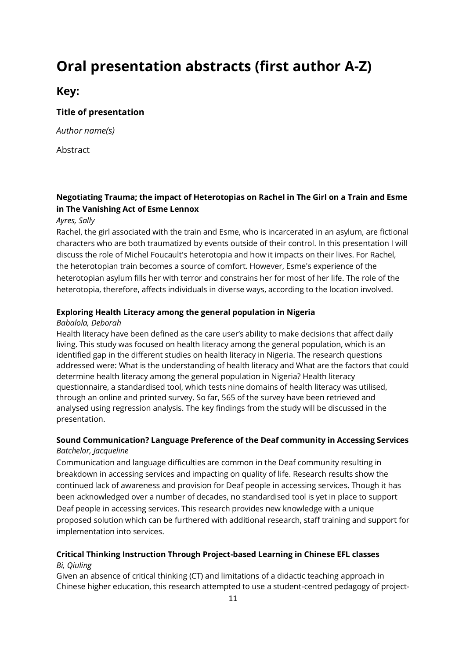### <span id="page-10-0"></span>**Oral presentation abstracts (first author A-Z)**

### **Key:**

#### **Title of presentation**

*Author name(s)*

Abstract

#### **Negotiating Trauma; the impact of Heterotopias on Rachel in The Girl on a Train and Esme in The Vanishing Act of Esme Lennox**

#### *Ayres, Sally*

Rachel, the girl associated with the train and Esme, who is incarcerated in an asylum, are fictional characters who are both traumatized by events outside of their control. In this presentation I will discuss the role of Michel Foucault's heterotopia and how it impacts on their lives. For Rachel, the heterotopian train becomes a source of comfort. However, Esme's experience of the heterotopian asylum fills her with terror and constrains her for most of her life. The role of the heterotopia, therefore, affects individuals in diverse ways, according to the location involved.

#### **Exploring Health Literacy among the general population in Nigeria**

#### *Babalola, Deborah*

Health literacy have been defined as the care user's ability to make decisions that affect daily living. This study was focused on health literacy among the general population, which is an identified gap in the different studies on health literacy in Nigeria. The research questions addressed were: What is the understanding of health literacy and What are the factors that could determine health literacy among the general population in Nigeria? Health literacy questionnaire, a standardised tool, which tests nine domains of health literacy was utilised, through an online and printed survey. So far, 565 of the survey have been retrieved and analysed using regression analysis. The key findings from the study will be discussed in the presentation.

#### **Sound Communication? Language Preference of the Deaf community in Accessing Services** *Batchelor, Jacqueline*

Communication and language difficulties are common in the Deaf community resulting in breakdown in accessing services and impacting on quality of life. Research results show the continued lack of awareness and provision for Deaf people in accessing services. Though it has been acknowledged over a number of decades, no standardised tool is yet in place to support Deaf people in accessing services. This research provides new knowledge with a unique proposed solution which can be furthered with additional research, staff training and support for implementation into services.

#### **Critical Thinking Instruction Through Project-based Learning in Chinese EFL classes** *Bi, Qiuling*

Given an absence of critical thinking (CT) and limitations of a didactic teaching approach in Chinese higher education, this research attempted to use a student-centred pedagogy of project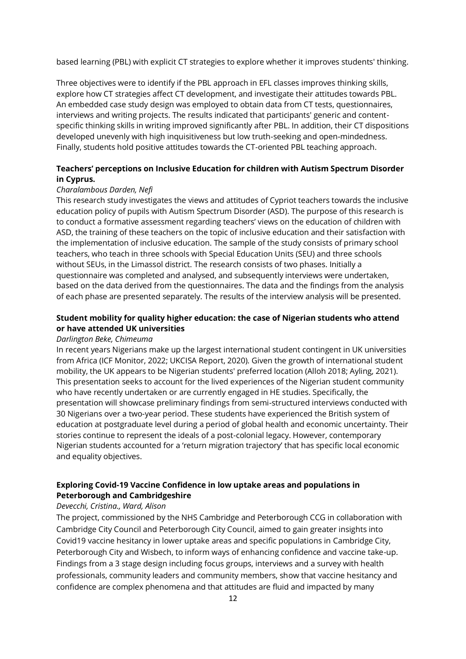based learning (PBL) with explicit CT strategies to explore whether it improves students' thinking.

Three objectives were to identify if the PBL approach in EFL classes improves thinking skills, explore how CT strategies affect CT development, and investigate their attitudes towards PBL. An embedded case study design was employed to obtain data from CT tests, questionnaires, interviews and writing projects. The results indicated that participants' generic and contentspecific thinking skills in writing improved significantly after PBL. In addition, their CT dispositions developed unevenly with high inquisitiveness but low truth-seeking and open-mindedness. Finally, students hold positive attitudes towards the CT-oriented PBL teaching approach.

#### **Teachers' perceptions on Inclusive Education for children with Autism Spectrum Disorder in Cyprus.**

#### *Charalambous Darden, Nefi*

This research study investigates the views and attitudes of Cypriot teachers towards the inclusive education policy of pupils with Autism Spectrum Disorder (ASD). The purpose of this research is to conduct a formative assessment regarding teachers' views on the education of children with ASD, the training of these teachers on the topic of inclusive education and their satisfaction with the implementation of inclusive education. The sample of the study consists of primary school teachers, who teach in three schools with Special Education Units (SEU) and three schools without SEUs, in the Limassol district. The research consists of two phases. Initially a questionnaire was completed and analysed, and subsequently interviews were undertaken, based on the data derived from the questionnaires. The data and the findings from the analysis of each phase are presented separately. The results of the interview analysis will be presented.

#### **Student mobility for quality higher education: the case of Nigerian students who attend or have attended UK universities**

#### *Darlington Beke, Chimeuma*

In recent years Nigerians make up the largest international student contingent in UK universities from Africa (ICF Monitor, 2022; UKCISA Report, 2020). Given the growth of international student mobility, the UK appears to be Nigerian students' preferred location (Alloh 2018; Ayling, 2021). This presentation seeks to account for the lived experiences of the Nigerian student community who have recently undertaken or are currently engaged in HE studies. Specifically, the presentation will showcase preliminary findings from semi-structured interviews conducted with 30 Nigerians over a two-year period. These students have experienced the British system of education at postgraduate level during a period of global health and economic uncertainty. Their stories continue to represent the ideals of a post-colonial legacy. However, contemporary Nigerian students accounted for a 'return migration trajectory' that has specific local economic and equality objectives.

#### **Exploring Covid-19 Vaccine Confidence in low uptake areas and populations in Peterborough and Cambridgeshire**

#### *Devecchi, Cristina., Ward, Alison*

The project, commissioned by the NHS Cambridge and Peterborough CCG in collaboration with Cambridge City Council and Peterborough City Council, aimed to gain greater insights into Covid19 vaccine hesitancy in lower uptake areas and specific populations in Cambridge City, Peterborough City and Wisbech, to inform ways of enhancing confidence and vaccine take-up. Findings from a 3 stage design including focus groups, interviews and a survey with health professionals, community leaders and community members, show that vaccine hesitancy and confidence are complex phenomena and that attitudes are fluid and impacted by many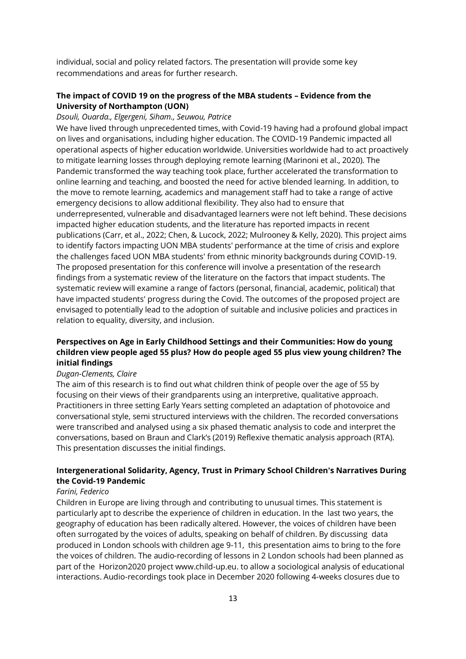individual, social and policy related factors. The presentation will provide some key recommendations and areas for further research.

#### **The impact of COVID 19 on the progress of the MBA students – Evidence from the University of Northampton (UON)**

#### *Dsouli, Ouarda., Elgergeni, Siham., Seuwou, Patrice*

We have lived through unprecedented times, with Covid-19 having had a profound global impact on lives and organisations, including higher education. The COVID-19 Pandemic impacted all operational aspects of higher education worldwide. Universities worldwide had to act proactively to mitigate learning losses through deploying remote learning (Marinoni et al., 2020). The Pandemic transformed the way teaching took place, further accelerated the transformation to online learning and teaching, and boosted the need for active blended learning. In addition, to the move to remote learning, academics and management staff had to take a range of active emergency decisions to allow additional flexibility. They also had to ensure that underrepresented, vulnerable and disadvantaged learners were not left behind. These decisions impacted higher education students, and the literature has reported impacts in recent publications (Carr, et al., 2022; Chen, & Lucock, 2022; Mulrooney & Kelly, 2020). This project aims to identify factors impacting UON MBA students' performance at the time of crisis and explore the challenges faced UON MBA students' from ethnic minority backgrounds during COVID-19. The proposed presentation for this conference will involve a presentation of the research findings from a systematic review of the literature on the factors that impact students. The systematic review will examine a range of factors (personal, financial, academic, political) that have impacted students' progress during the Covid. The outcomes of the proposed project are envisaged to potentially lead to the adoption of suitable and inclusive policies and practices in relation to equality, diversity, and inclusion.

#### **Perspectives on Age in Early Childhood Settings and their Communities: How do young children view people aged 55 plus? How do people aged 55 plus view young children? The initial findings**

#### *Dugan-Clements, Claire*

The aim of this research is to find out what children think of people over the age of 55 by focusing on their views of their grandparents using an interpretive, qualitative approach. Practitioners in three setting Early Years setting completed an adaptation of photovoice and conversational style, semi structured interviews with the children. The recorded conversations were transcribed and analysed using a six phased thematic analysis to code and interpret the conversations, based on Braun and Clark's (2019) Reflexive thematic analysis approach (RTA). This presentation discusses the initial findings.

#### **Intergenerational Solidarity, Agency, Trust in Primary School Children's Narratives During the Covid-19 Pandemic**

#### *Farini, Federico*

Children in Europe are living through and contributing to unusual times. This statement is particularly apt to describe the experience of children in education. In the last two years, the geography of education has been radically altered. However, the voices of children have been often surrogated by the voices of adults, speaking on behalf of children. By discussing data produced in London schools with children age 9-11, this presentation aims to bring to the fore the voices of children. The audio-recording of lessons in 2 London schools had been planned as part of the Horizon2020 project www.child-up.eu. to allow a sociological analysis of educational interactions. Audio-recordings took place in December 2020 following 4-weeks closures due to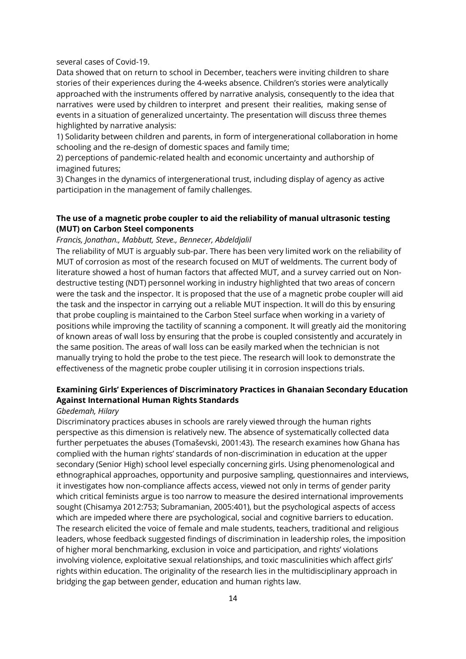several cases of Covid-19.

Data showed that on return to school in December, teachers were inviting children to share stories of their experiences during the 4-weeks absence. Children's stories were analytically approached with the instruments offered by narrative analysis, consequently to the idea that narratives were used by children to interpret and present their realities, making sense of events in a situation of generalized uncertainty. The presentation will discuss three themes highlighted by narrative analysis:

1) Solidarity between children and parents, in form of intergenerational collaboration in home schooling and the re-design of domestic spaces and family time;

2) perceptions of pandemic-related health and economic uncertainty and authorship of imagined futures;

3) Changes in the dynamics of intergenerational trust, including display of agency as active participation in the management of family challenges.

#### **The use of a magnetic probe coupler to aid the reliability of manual ultrasonic testing (MUT) on Carbon Steel components**

#### *Francis, Jonathan., Mabbutt, Steve., Bennecer, Abdeldjalil*

The reliability of MUT is arguably sub-par. There has been very limited work on the reliability of MUT of corrosion as most of the research focused on MUT of weldments. The current body of literature showed a host of human factors that affected MUT, and a survey carried out on Nondestructive testing (NDT) personnel working in industry highlighted that two areas of concern were the task and the inspector. It is proposed that the use of a magnetic probe coupler will aid the task and the inspector in carrying out a reliable MUT inspection. It will do this by ensuring that probe coupling is maintained to the Carbon Steel surface when working in a variety of positions while improving the tactility of scanning a component. It will greatly aid the monitoring of known areas of wall loss by ensuring that the probe is coupled consistently and accurately in the same position. The areas of wall loss can be easily marked when the technician is not manually trying to hold the probe to the test piece. The research will look to demonstrate the effectiveness of the magnetic probe coupler utilising it in corrosion inspections trials.

#### **Examining Girls' Experiences of Discriminatory Practices in Ghanaian Secondary Education Against International Human Rights Standards**

#### *Gbedemah, Hilary*

Discriminatory practices abuses in schools are rarely viewed through the human rights perspective as this dimension is relatively new. The absence of systematically collected data further perpetuates the abuses (Tomaševski, 2001:43). The research examines how Ghana has complied with the human rights' standards of non-discrimination in education at the upper secondary (Senior High) school level especially concerning girls. Using phenomenological and ethnographical approaches, opportunity and purposive sampling, questionnaires and interviews, it investigates how non-compliance affects access, viewed not only in terms of gender parity which critical feminists argue is too narrow to measure the desired international improvements sought (Chisamya 2012:753; Subramanian, 2005:401), but the psychological aspects of access which are impeded where there are psychological, social and cognitive barriers to education. The research elicited the voice of female and male students, teachers, traditional and religious leaders, whose feedback suggested findings of discrimination in leadership roles, the imposition of higher moral benchmarking, exclusion in voice and participation, and rights' violations involving violence, exploitative sexual relationships, and toxic masculinities which affect girls' rights within education. The originality of the research lies in the multidisciplinary approach in bridging the gap between gender, education and human rights law.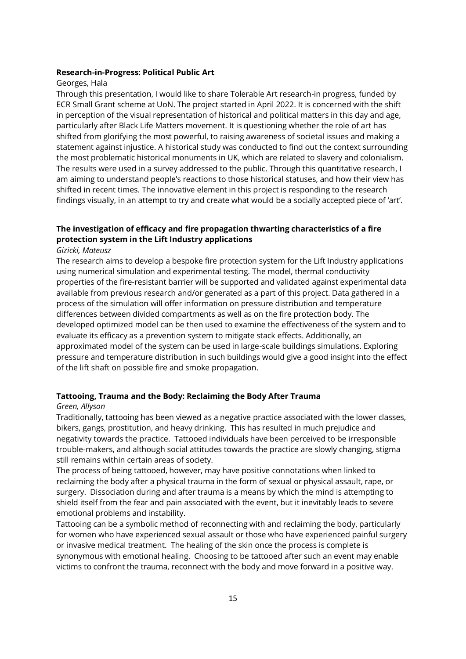#### **Research-in-Progress: Political Public Art**

#### Georges, Hala

Through this presentation, I would like to share Tolerable Art research-in progress, funded by ECR Small Grant scheme at UoN. The project started in April 2022. It is concerned with the shift in perception of the visual representation of historical and political matters in this day and age, particularly after Black Life Matters movement. It is questioning whether the role of art has shifted from glorifying the most powerful, to raising awareness of societal issues and making a statement against injustice. A historical study was conducted to find out the context surrounding the most problematic historical monuments in UK, which are related to slavery and colonialism. The results were used in a survey addressed to the public. Through this quantitative research, I am aiming to understand people's reactions to those historical statuses, and how their view has shifted in recent times. The innovative element in this project is responding to the research findings visually, in an attempt to try and create what would be a socially accepted piece of 'art'.

#### **The investigation of efficacy and fire propagation thwarting characteristics of a fire protection system in the Lift Industry applications**

#### *Gizicki, Mateusz*

The research aims to develop a bespoke fire protection system for the Lift Industry applications using numerical simulation and experimental testing. The model, thermal conductivity properties of the fire-resistant barrier will be supported and validated against experimental data available from previous research and/or generated as a part of this project. Data gathered in a process of the simulation will offer information on pressure distribution and temperature differences between divided compartments as well as on the fire protection body. The developed optimized model can be then used to examine the effectiveness of the system and to evaluate its efficacy as a prevention system to mitigate stack effects. Additionally, an approximated model of the system can be used in large-scale buildings simulations. Exploring pressure and temperature distribution in such buildings would give a good insight into the effect of the lift shaft on possible fire and smoke propagation.

#### **Tattooing, Trauma and the Body: Reclaiming the Body After Trauma**

#### *Green, Allyson*

Traditionally, tattooing has been viewed as a negative practice associated with the lower classes, bikers, gangs, prostitution, and heavy drinking. This has resulted in much prejudice and negativity towards the practice. Tattooed individuals have been perceived to be irresponsible trouble-makers, and although social attitudes towards the practice are slowly changing, stigma still remains within certain areas of society.

The process of being tattooed, however, may have positive connotations when linked to reclaiming the body after a physical trauma in the form of sexual or physical assault, rape, or surgery. Dissociation during and after trauma is a means by which the mind is attempting to shield itself from the fear and pain associated with the event, but it inevitably leads to severe emotional problems and instability.

Tattooing can be a symbolic method of reconnecting with and reclaiming the body, particularly for women who have experienced sexual assault or those who have experienced painful surgery or invasive medical treatment. The healing of the skin once the process is complete is synonymous with emotional healing. Choosing to be tattooed after such an event may enable victims to confront the trauma, reconnect with the body and move forward in a positive way.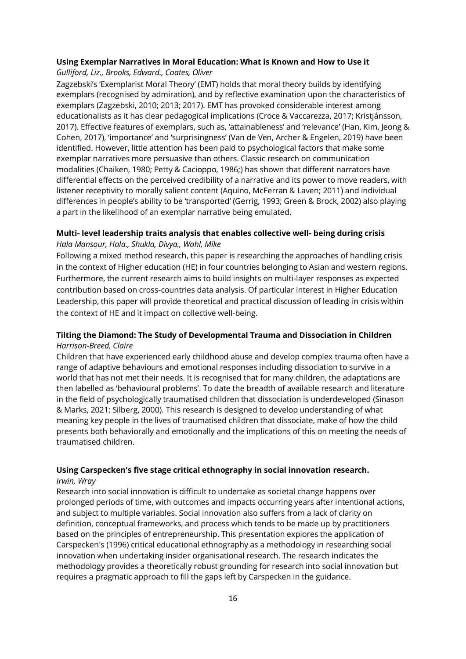#### **Using Exemplar Narratives in Moral Education: What is Known and How to Use it**

*Gulliford, Liz., Brooks, Edward., Coates, Oliver*

Zagzebski's 'Exemplarist Moral Theory' (EMT) holds that moral theory builds by identifying exemplars (recognised by admiration), and by reflective examination upon the characteristics of exemplars (Zagzebski, 2010; 2013; 2017). EMT has provoked considerable interest among educationalists as it has clear pedagogical implications (Croce & Vaccarezza, 2017; Kristjánsson, 2017). Effective features of exemplars, such as, 'attainableness' and 'relevance' (Han, Kim, Jeong & Cohen, 2017), 'importance' and 'surprisingness' (Van de Ven, Archer & Engelen, 2019) have been identified. However, little attention has been paid to psychological factors that make some exemplar narratives more persuasive than others. Classic research on communication modalities (Chaiken, 1980; Petty & Cacioppo, 1986;) has shown that different narrators have differential effects on the perceived credibility of a narrative and its power to move readers, with listener receptivity to morally salient content (Aquino, McFerran & Laven; 2011) and individual differences in people's ability to be 'transported' (Gerrig, 1993; Green & Brock, 2002) also playing a part in the likelihood of an exemplar narrative being emulated.

#### **Multi- level leadership traits analysis that enables collective well- being during crisis** *Hala Mansour, Hala., Shukla, Divya., Wahl, Mike*

Following a mixed method research, this paper is researching the approaches of handling crisis in the context of Higher education (HE) in four countries belonging to Asian and western regions. Furthermore, the current research aims to build insights on multi-layer responses as expected contribution based on cross-countries data analysis. Of particular interest in Higher Education Leadership, this paper will provide theoretical and practical discussion of leading in crisis within the context of HE and it impact on collective well-being.

#### **Tilting the Diamond: The Study of Developmental Trauma and Dissociation in Children** *Harrison-Breed, Claire*

Children that have experienced early childhood abuse and develop complex trauma often have a range of adaptive behaviours and emotional responses including dissociation to survive in a world that has not met their needs. It is recognised that for many children, the adaptations are then labelled as 'behavioural problems'. To date the breadth of available research and literature in the field of psychologically traumatised children that dissociation is underdeveloped (Sinason & Marks, 2021; Silberg, 2000). This research is designed to develop understanding of what meaning key people in the lives of traumatised children that dissociate, make of how the child presents both behaviorally and emotionally and the implications of this on meeting the needs of traumatised children.

### **Using Carspecken's five stage critical ethnography in social innovation research.**

#### *Irwin, Wray*

Research into social innovation is difficult to undertake as societal change happens over prolonged periods of time, with outcomes and impacts occurring years after intentional actions, and subject to multiple variables. Social innovation also suffers from a lack of clarity on definition, conceptual frameworks, and process which tends to be made up by practitioners based on the principles of entrepreneurship. This presentation explores the application of Carspecken's (1996) critical educational ethnography as a methodology in researching social innovation when undertaking insider organisational research. The research indicates the methodology provides a theoretically robust grounding for research into social innovation but requires a pragmatic approach to fill the gaps left by Carspecken in the guidance.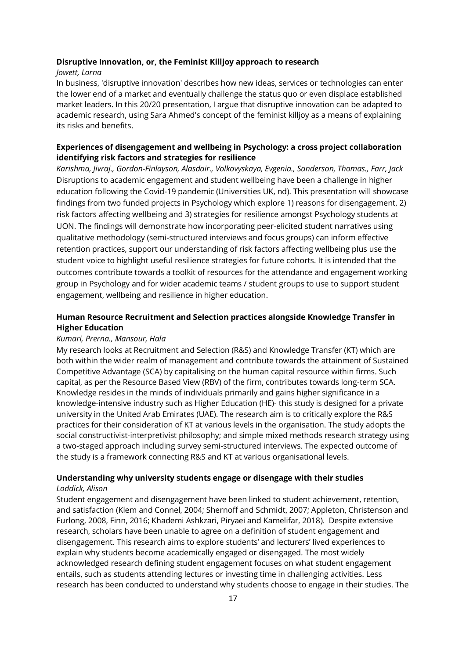#### **Disruptive Innovation, or, the Feminist Killjoy approach to research**

#### *Jowett, Lorna*

In business, 'disruptive innovation' describes how new ideas, services or technologies can enter the lower end of a market and eventually challenge the status quo or even displace established market leaders. In this 20/20 presentation, I argue that disruptive innovation can be adapted to academic research, using Sara Ahmed's concept of the feminist killjoy as a means of explaining its risks and benefits.

#### **Experiences of disengagement and wellbeing in Psychology: a cross project collaboration identifying risk factors and strategies for resilience**

*Karishma, Jivraj., Gordon-Finlayson, Alasdair., Volkovyskaya, Evgenia., Sanderson, Thomas., Farr, Jack* Disruptions to academic engagement and student wellbeing have been a challenge in higher education following the Covid-19 pandemic (Universities UK, nd). This presentation will showcase findings from two funded projects in Psychology which explore 1) reasons for disengagement, 2) risk factors affecting wellbeing and 3) strategies for resilience amongst Psychology students at UON. The findings will demonstrate how incorporating peer-elicited student narratives using qualitative methodology (semi-structured interviews and focus groups) can inform effective retention practices, support our understanding of risk factors affecting wellbeing plus use the student voice to highlight useful resilience strategies for future cohorts. It is intended that the outcomes contribute towards a toolkit of resources for the attendance and engagement working group in Psychology and for wider academic teams / student groups to use to support student engagement, wellbeing and resilience in higher education.

#### **Human Resource Recruitment and Selection practices alongside Knowledge Transfer in Higher Education**

#### *Kumari, Prerna., Mansour, Hala*

My research looks at Recruitment and Selection (R&S) and Knowledge Transfer (KT) which are both within the wider realm of management and contribute towards the attainment of Sustained Competitive Advantage (SCA) by capitalising on the human capital resource within firms. Such capital, as per the Resource Based View (RBV) of the firm, contributes towards long-term SCA. Knowledge resides in the minds of individuals primarily and gains higher significance in a knowledge-intensive industry such as Higher Education (HE)- this study is designed for a private university in the United Arab Emirates (UAE). The research aim is to critically explore the R&S practices for their consideration of KT at various levels in the organisation. The study adopts the social constructivist-interpretivist philosophy; and simple mixed methods research strategy using a two-staged approach including survey semi-structured interviews. The expected outcome of the study is a framework connecting R&S and KT at various organisational levels.

#### **Understanding why university students engage or disengage with their studies**

#### *Loddick, Alison*

Student engagement and disengagement have been linked to student achievement, retention, and satisfaction (Klem and Connel, 2004; Shernoff and Schmidt, 2007; Appleton, Christenson and Furlong, 2008, Finn, 2016; Khademi Ashkzari, Piryaei and Kamelifar, 2018). Despite extensive research, scholars have been unable to agree on a definition of student engagement and disengagement. This research aims to explore students' and lecturers' lived experiences to explain why students become academically engaged or disengaged. The most widely acknowledged research defining student engagement focuses on what student engagement entails, such as students attending lectures or investing time in challenging activities. Less research has been conducted to understand why students choose to engage in their studies. The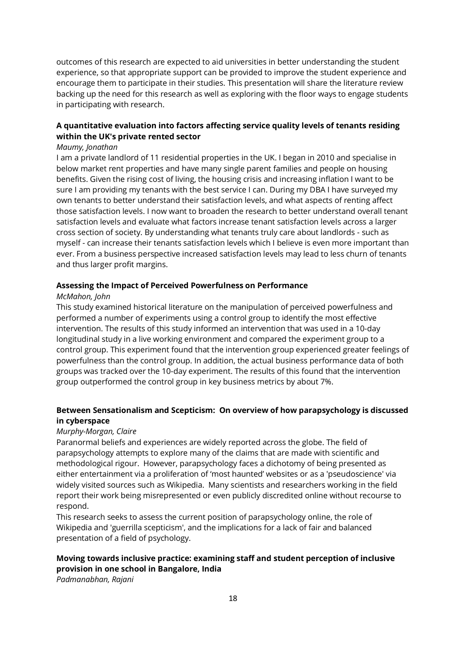outcomes of this research are expected to aid universities in better understanding the student experience, so that appropriate support can be provided to improve the student experience and encourage them to participate in their studies. This presentation will share the literature review backing up the need for this research as well as exploring with the floor ways to engage students in participating with research.

#### **A quantitative evaluation into factors affecting service quality levels of tenants residing within the UK's private rented sector**

#### *Maumy, Jonathan*

I am a private landlord of 11 residential properties in the UK. I began in 2010 and specialise in below market rent properties and have many single parent families and people on housing benefits. Given the rising cost of living, the housing crisis and increasing inflation I want to be sure I am providing my tenants with the best service I can. During my DBA I have surveyed my own tenants to better understand their satisfaction levels, and what aspects of renting affect those satisfaction levels. I now want to broaden the research to better understand overall tenant satisfaction levels and evaluate what factors increase tenant satisfaction levels across a larger cross section of society. By understanding what tenants truly care about landlords - such as myself - can increase their tenants satisfaction levels which I believe is even more important than ever. From a business perspective increased satisfaction levels may lead to less churn of tenants and thus larger profit margins.

#### **Assessing the Impact of Perceived Powerfulness on Performance**

#### *McMahon, John*

This study examined historical literature on the manipulation of perceived powerfulness and performed a number of experiments using a control group to identify the most effective intervention. The results of this study informed an intervention that was used in a 10-day longitudinal study in a live working environment and compared the experiment group to a control group. This experiment found that the intervention group experienced greater feelings of powerfulness than the control group. In addition, the actual business performance data of both groups was tracked over the 10-day experiment. The results of this found that the intervention group outperformed the control group in key business metrics by about 7%.

#### **Between Sensationalism and Scepticism: On overview of how parapsychology is discussed in cyberspace**

#### *Murphy-Morgan, Claire*

Paranormal beliefs and experiences are widely reported across the globe. The field of parapsychology attempts to explore many of the claims that are made with scientific and methodological rigour. However, parapsychology faces a dichotomy of being presented as either entertainment via a proliferation of 'most haunted' websites or as a 'pseudoscience' via widely visited sources such as Wikipedia. Many scientists and researchers working in the field report their work being misrepresented or even publicly discredited online without recourse to respond.

This research seeks to assess the current position of parapsychology online, the role of Wikipedia and 'guerrilla scepticism', and the implications for a lack of fair and balanced presentation of a field of psychology.

#### **Moving towards inclusive practice: examining staff and student perception of inclusive provision in one school in Bangalore, India**

*Padmanabhan, Rajani*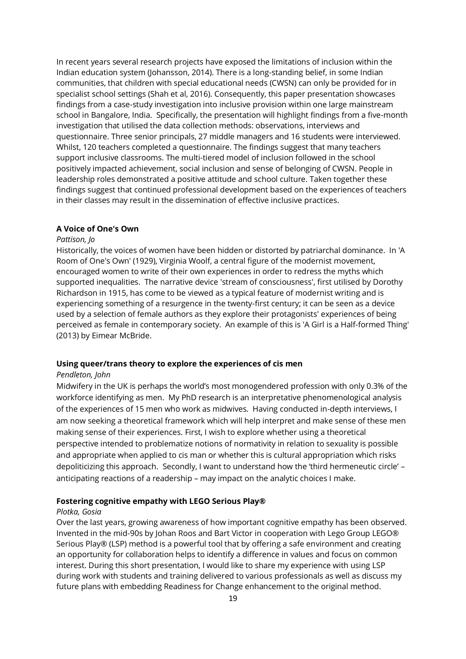In recent years several research projects have exposed the limitations of inclusion within the Indian education system (Johansson, 2014). There is a long-standing belief, in some Indian communities, that children with special educational needs (CWSN) can only be provided for in specialist school settings (Shah et al, 2016). Consequently, this paper presentation showcases findings from a case-study investigation into inclusive provision within one large mainstream school in Bangalore, India. Specifically, the presentation will highlight findings from a five-month investigation that utilised the data collection methods: observations, interviews and questionnaire. Three senior principals, 27 middle managers and 16 students were interviewed. Whilst, 120 teachers completed a questionnaire. The findings suggest that many teachers support inclusive classrooms. The multi-tiered model of inclusion followed in the school positively impacted achievement, social inclusion and sense of belonging of CWSN. People in leadership roles demonstrated a positive attitude and school culture. Taken together these findings suggest that continued professional development based on the experiences of teachers in their classes may result in the dissemination of effective inclusive practices.

#### **A Voice of One's Own**

#### *Pattison, Jo*

Historically, the voices of women have been hidden or distorted by patriarchal dominance. In 'A Room of One's Own' (1929), Virginia Woolf, a central figure of the modernist movement, encouraged women to write of their own experiences in order to redress the myths which supported inequalities. The narrative device 'stream of consciousness', first utilised by Dorothy Richardson in 1915, has come to be viewed as a typical feature of modernist writing and is experiencing something of a resurgence in the twenty-first century; it can be seen as a device used by a selection of female authors as they explore their protagonists' experiences of being perceived as female in contemporary society. An example of this is 'A Girl is a Half-formed Thing' (2013) by Eimear McBride.

#### **Using queer/trans theory to explore the experiences of cis men**

#### *Pendleton, John*

Midwifery in the UK is perhaps the world's most monogendered profession with only 0.3% of the workforce identifying as men. My PhD research is an interpretative phenomenological analysis of the experiences of 15 men who work as midwives. Having conducted in-depth interviews, I am now seeking a theoretical framework which will help interpret and make sense of these men making sense of their experiences. First, I wish to explore whether using a theoretical perspective intended to problematize notions of normativity in relation to sexuality is possible and appropriate when applied to cis man or whether this is cultural appropriation which risks depoliticizing this approach. Secondly, I want to understand how the 'third hermeneutic circle' – anticipating reactions of a readership – may impact on the analytic choices I make.

#### **Fostering cognitive empathy with LEGO Serious Play®**

#### *Plotka, Gosia*

Over the last years, growing awareness of how important cognitive empathy has been observed. Invented in the mid-90s by Johan Roos and Bart Victor in cooperation with Lego Group LEGO® Serious Play® (LSP) method is a powerful tool that by offering a safe environment and creating an opportunity for collaboration helps to identify a difference in values and focus on common interest. During this short presentation, I would like to share my experience with using LSP during work with students and training delivered to various professionals as well as discuss my future plans with embedding Readiness for Change enhancement to the original method.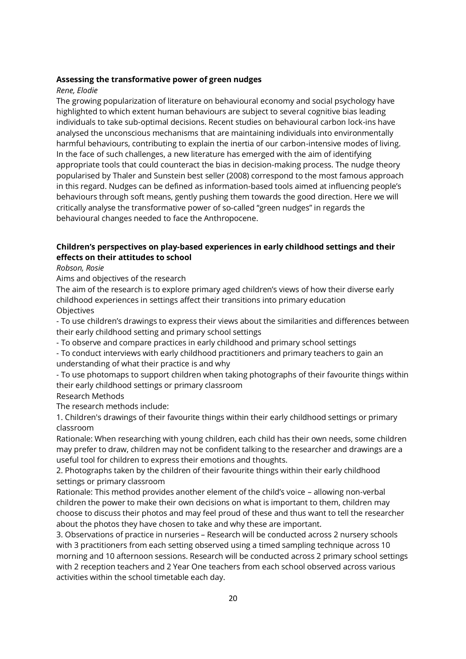#### **Assessing the transformative power of green nudges**

#### *Rene, Elodie*

The growing popularization of literature on behavioural economy and social psychology have highlighted to which extent human behaviours are subject to several cognitive bias leading individuals to take sub-optimal decisions. Recent studies on behavioural carbon lock-ins have analysed the unconscious mechanisms that are maintaining individuals into environmentally harmful behaviours, contributing to explain the inertia of our carbon-intensive modes of living. In the face of such challenges, a new literature has emerged with the aim of identifying appropriate tools that could counteract the bias in decision-making process. The nudge theory popularised by Thaler and Sunstein best seller (2008) correspond to the most famous approach in this regard. Nudges can be defined as information-based tools aimed at influencing people's behaviours through soft means, gently pushing them towards the good direction. Here we will critically analyse the transformative power of so-called "green nudges" in regards the behavioural changes needed to face the Anthropocene.

#### **Children's perspectives on play-based experiences in early childhood settings and their effects on their attitudes to school**

#### *Robson, Rosie*

Aims and objectives of the research

The aim of the research is to explore primary aged children's views of how their diverse early childhood experiences in settings affect their transitions into primary education **Objectives** 

- To use children's drawings to express their views about the similarities and differences between their early childhood setting and primary school settings

- To observe and compare practices in early childhood and primary school settings

- To conduct interviews with early childhood practitioners and primary teachers to gain an understanding of what their practice is and why

- To use photomaps to support children when taking photographs of their favourite things within their early childhood settings or primary classroom

#### Research Methods

The research methods include:

1. Children's drawings of their favourite things within their early childhood settings or primary classroom

Rationale: When researching with young children, each child has their own needs, some children may prefer to draw, children may not be confident talking to the researcher and drawings are a useful tool for children to express their emotions and thoughts.

2. Photographs taken by the children of their favourite things within their early childhood settings or primary classroom

Rationale: This method provides another element of the child's voice – allowing non-verbal children the power to make their own decisions on what is important to them, children may choose to discuss their photos and may feel proud of these and thus want to tell the researcher about the photos they have chosen to take and why these are important.

3. Observations of practice in nurseries – Research will be conducted across 2 nursery schools with 3 practitioners from each setting observed using a timed sampling technique across 10 morning and 10 afternoon sessions. Research will be conducted across 2 primary school settings with 2 reception teachers and 2 Year One teachers from each school observed across various activities within the school timetable each day.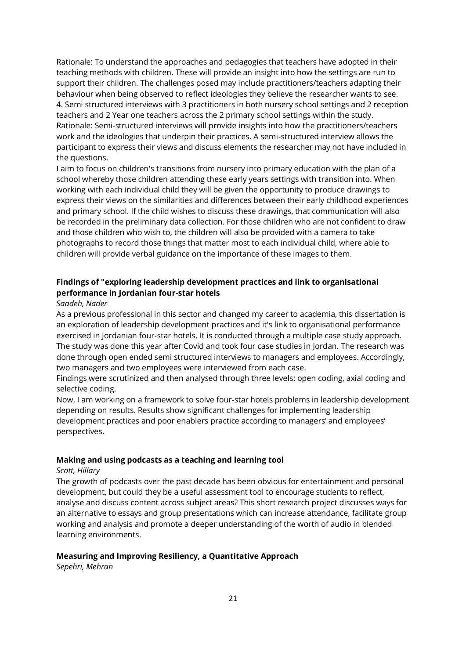Rationale: To understand the approaches and pedagogies that teachers have adopted in their teaching methods with children. These will provide an insight into how the settings are run to support their children. The challenges posed may include practitioners/teachers adapting their behaviour when being observed to reflect ideologies they believe the researcher wants to see. 4. Semi structured interviews with 3 practitioners in both nursery school settings and 2 reception teachers and 2 Year one teachers across the 2 primary school settings within the study. Rationale: Semi-structured interviews will provide insights into how the practitioners/teachers work and the ideologies that underpin their practices. A semi-structured interview allows the participant to express their views and discuss elements the researcher may not have included in the questions.

I aim to focus on children's transitions from nursery into primary education with the plan of a school whereby those children attending these early years settings with transition into. When working with each individual child they will be given the opportunity to produce drawings to express their views on the similarities and differences between their early childhood experiences and primary school. If the child wishes to discuss these drawings, that communication will also be recorded in the preliminary data collection. For those children who are not confident to draw and those children who wish to, the children will also be provided with a camera to take photographs to record those things that matter most to each individual child, where able to children will provide verbal guidance on the importance of these images to them.

#### **Findings of "exploring leadership development practices and link to organisational performance in Jordanian four-star hotels**

#### *Saadeh, Nader*

As a previous professional in this sector and changed my career to academia, this dissertation is an exploration of leadership development practices and it's link to organisational performance exercised in Jordanian four-star hotels. It is conducted through a multiple case study approach. The study was done this year after Covid and took four case studies in Jordan. The research was done through open ended semi structured interviews to managers and employees. Accordingly, two managers and two employees were interviewed from each case.

Findings were scrutinized and then analysed through three levels: open coding, axial coding and selective coding.

Now, I am working on a framework to solve four-star hotels problems in leadership development depending on results. Results show significant challenges for implementing leadership development practices and poor enablers practice according to managers' and employees' perspectives.

#### **Making and using podcasts as a teaching and learning tool**

#### *Scott, Hillary*

The growth of podcasts over the past decade has been obvious for entertainment and personal development, but could they be a useful assessment tool to encourage students to reflect, analyse and discuss content across subject areas? This short research project discusses ways for an alternative to essays and group presentations which can increase attendance, facilitate group working and analysis and promote a deeper understanding of the worth of audio in blended learning environments.

#### **Measuring and Improving Resiliency, a Quantitative Approach**

*Sepehri, Mehran*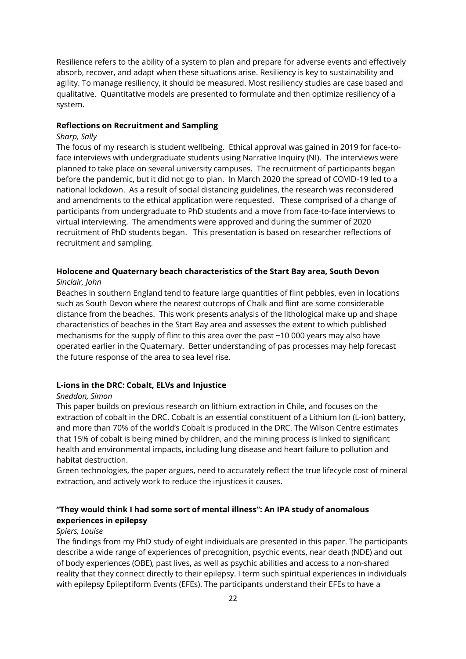Resilience refers to the ability of a system to plan and prepare for adverse events and effectively absorb, recover, and adapt when these situations arise. Resiliency is key to sustainability and agility. To manage resiliency, it should be measured. Most resiliency studies are case based and qualitative. Quantitative models are presented to formulate and then optimize resiliency of a system.

#### **Reflections on Recruitment and Sampling**

#### *Sharp, Sally*

The focus of my research is student wellbeing. Ethical approval was gained in 2019 for face-toface interviews with undergraduate students using Narrative Inquiry (NI). The interviews were planned to take place on several university campuses. The recruitment of participants began before the pandemic, but it did not go to plan. In March 2020 the spread of COVID-19 led to a national lockdown. As a result of social distancing guidelines, the research was reconsidered and amendments to the ethical application were requested. These comprised of a change of participants from undergraduate to PhD students and a move from face-to-face interviews to virtual interviewing. The amendments were approved and during the summer of 2020 recruitment of PhD students began. This presentation is based on researcher reflections of recruitment and sampling.

#### **Holocene and Quaternary beach characteristics of the Start Bay area, South Devon**

#### *Sinclair, John*

Beaches in southern England tend to feature large quantities of flint pebbles, even in locations such as South Devon where the nearest outcrops of Chalk and flint are some considerable distance from the beaches. This work presents analysis of the lithological make up and shape characteristics of beaches in the Start Bay area and assesses the extent to which published mechanisms for the supply of flint to this area over the past ~10 000 years may also have operated earlier in the Quaternary. Better understanding of pas processes may help forecast the future response of the area to sea level rise.

#### **L-ions in the DRC: Cobalt, ELVs and Injustice**

#### *Sneddon, Simon*

This paper builds on previous research on lithium extraction in Chile, and focuses on the extraction of cobalt in the DRC. Cobalt is an essential constituent of a Lithium Ion (L-ion) battery, and more than 70% of the world's Cobalt is produced in the DRC. The Wilson Centre estimates that 15% of cobalt is being mined by children, and the mining process is linked to significant health and environmental impacts, including lung disease and heart failure to pollution and habitat destruction.

Green technologies, the paper argues, need to accurately reflect the true lifecycle cost of mineral extraction, and actively work to reduce the injustices it causes.

#### **"They would think I had some sort of mental illness": An IPA study of anomalous experiences in epilepsy**

#### *Spiers, Louise*

The findings from my PhD study of eight individuals are presented in this paper. The participants describe a wide range of experiences of precognition, psychic events, near death (NDE) and out of body experiences (OBE), past lives, as well as psychic abilities and access to a non-shared reality that they connect directly to their epilepsy. I term such spiritual experiences in individuals with epilepsy Epileptiform Events (EFEs). The participants understand their EFEs to have a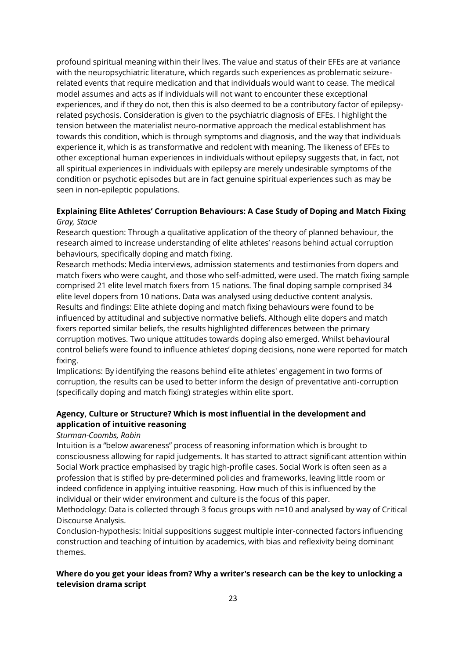profound spiritual meaning within their lives. The value and status of their EFEs are at variance with the neuropsychiatric literature, which regards such experiences as problematic seizurerelated events that require medication and that individuals would want to cease. The medical model assumes and acts as if individuals will not want to encounter these exceptional experiences, and if they do not, then this is also deemed to be a contributory factor of epilepsyrelated psychosis. Consideration is given to the psychiatric diagnosis of EFEs. I highlight the tension between the materialist neuro-normative approach the medical establishment has towards this condition, which is through symptoms and diagnosis, and the way that individuals experience it, which is as transformative and redolent with meaning. The likeness of EFEs to other exceptional human experiences in individuals without epilepsy suggests that, in fact, not all spiritual experiences in individuals with epilepsy are merely undesirable symptoms of the condition or psychotic episodes but are in fact genuine spiritual experiences such as may be seen in non-epileptic populations.

#### **Explaining Elite Athletes' Corruption Behaviours: A Case Study of Doping and Match Fixing** *Gray, Stacie*

Research question: Through a qualitative application of the theory of planned behaviour, the research aimed to increase understanding of elite athletes' reasons behind actual corruption behaviours, specifically doping and match fixing.

Research methods: Media interviews, admission statements and testimonies from dopers and match fixers who were caught, and those who self-admitted, were used. The match fixing sample comprised 21 elite level match fixers from 15 nations. The final doping sample comprised 34 elite level dopers from 10 nations. Data was analysed using deductive content analysis. Results and findings: Elite athlete doping and match fixing behaviours were found to be influenced by attitudinal and subjective normative beliefs. Although elite dopers and match fixers reported similar beliefs, the results highlighted differences between the primary corruption motives. Two unique attitudes towards doping also emerged. Whilst behavioural control beliefs were found to influence athletes' doping decisions, none were reported for match fixing.

Implications: By identifying the reasons behind elite athletes' engagement in two forms of corruption, the results can be used to better inform the design of preventative anti-corruption (specifically doping and match fixing) strategies within elite sport.

#### **Agency, Culture or Structure? Which is most influential in the development and application of intuitive reasoning**

#### *Sturman-Coombs, Robin*

Intuition is a "below awareness" process of reasoning information which is brought to consciousness allowing for rapid judgements. It has started to attract significant attention within Social Work practice emphasised by tragic high-profile cases. Social Work is often seen as a profession that is stifled by pre-determined policies and frameworks, leaving little room or indeed confidence in applying intuitive reasoning. How much of this is influenced by the individual or their wider environment and culture is the focus of this paper.

Methodology: Data is collected through 3 focus groups with n=10 and analysed by way of Critical Discourse Analysis.

Conclusion-hypothesis: Initial suppositions suggest multiple inter-connected factors influencing construction and teaching of intuition by academics, with bias and reflexivity being dominant themes.

#### **Where do you get your ideas from? Why a writer's research can be the key to unlocking a television drama script**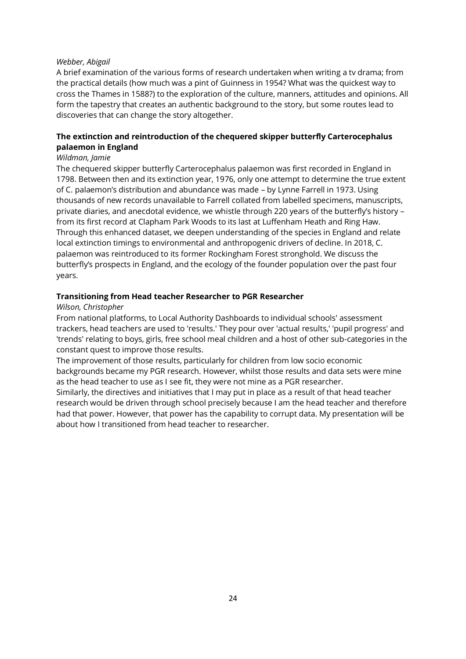#### *Webber, Abigail*

A brief examination of the various forms of research undertaken when writing a tv drama; from the practical details (how much was a pint of Guinness in 1954? What was the quickest way to cross the Thames in 1588?) to the exploration of the culture, manners, attitudes and opinions. All form the tapestry that creates an authentic background to the story, but some routes lead to discoveries that can change the story altogether.

#### **The extinction and reintroduction of the chequered skipper butterfly Carterocephalus palaemon in England**

#### *Wildman, Jamie*

The chequered skipper butterfly Carterocephalus palaemon was first recorded in England in 1798. Between then and its extinction year, 1976, only one attempt to determine the true extent of C. palaemon's distribution and abundance was made – by Lynne Farrell in 1973. Using thousands of new records unavailable to Farrell collated from labelled specimens, manuscripts, private diaries, and anecdotal evidence, we whistle through 220 years of the butterfly's history – from its first record at Clapham Park Woods to its last at Luffenham Heath and Ring Haw. Through this enhanced dataset, we deepen understanding of the species in England and relate local extinction timings to environmental and anthropogenic drivers of decline. In 2018, C. palaemon was reintroduced to its former Rockingham Forest stronghold. We discuss the butterfly's prospects in England, and the ecology of the founder population over the past four years.

#### **Transitioning from Head teacher Researcher to PGR Researcher**

#### *Wilson, Christopher*

From national platforms, to Local Authority Dashboards to individual schools' assessment trackers, head teachers are used to 'results.' They pour over 'actual results,' 'pupil progress' and 'trends' relating to boys, girls, free school meal children and a host of other sub-categories in the constant quest to improve those results.

The improvement of those results, particularly for children from low socio economic backgrounds became my PGR research. However, whilst those results and data sets were mine as the head teacher to use as I see fit, they were not mine as a PGR researcher.

Similarly, the directives and initiatives that I may put in place as a result of that head teacher research would be driven through school precisely because I am the head teacher and therefore had that power. However, that power has the capability to corrupt data. My presentation will be about how I transitioned from head teacher to researcher.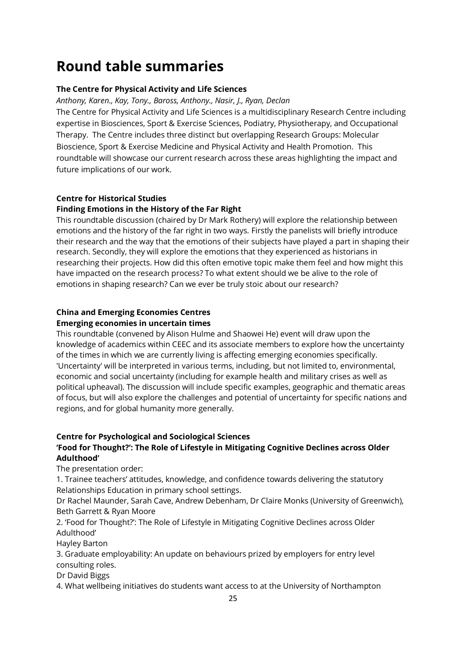### <span id="page-24-0"></span>**Round table summaries**

#### **The Centre for Physical Activity and Life Sciences**

*Anthony, Karen., Kay, Tony., Baross, Anthony., Nasir, J., Ryan, Declan*

The Centre for Physical Activity and Life Sciences is a multidisciplinary Research Centre including expertise in Biosciences, Sport & Exercise Sciences, Podiatry, Physiotherapy, and Occupational Therapy. The Centre includes three distinct but overlapping Research Groups: Molecular Bioscience, Sport & Exercise Medicine and Physical Activity and Health Promotion. This roundtable will showcase our current research across these areas highlighting the impact and future implications of our work.

#### **Centre for Historical Studies**

#### **Finding Emotions in the History of the Far Right**

This roundtable discussion (chaired by Dr Mark Rothery) will explore the relationship between emotions and the history of the far right in two ways. Firstly the panelists will briefly introduce their research and the way that the emotions of their subjects have played a part in shaping their research. Secondly, they will explore the emotions that they experienced as historians in researching their projects. How did this often emotive topic make them feel and how might this have impacted on the research process? To what extent should we be alive to the role of emotions in shaping research? Can we ever be truly stoic about our research?

#### **China and Emerging Economies Centres Emerging economies in uncertain times**

This roundtable (convened by Alison Hulme and Shaowei He) event will draw upon the knowledge of academics within CEEC and its associate members to explore how the uncertainty of the times in which we are currently living is affecting emerging economies specifically. 'Uncertainty' will be interpreted in various terms, including, but not limited to, environmental, economic and social uncertainty (including for example health and military crises as well as political upheaval). The discussion will include specific examples, geographic and thematic areas of focus, but will also explore the challenges and potential of uncertainty for specific nations and regions, and for global humanity more generally.

#### **Centre for Psychological and Sociological Sciences 'Food for Thought?': The Role of Lifestyle in Mitigating Cognitive Declines across Older**

#### **Adulthood'**

The presentation order:

1. Trainee teachers' attitudes, knowledge, and confidence towards delivering the statutory Relationships Education in primary school settings.

Dr Rachel Maunder, Sarah Cave, Andrew Debenham, Dr Claire Monks (University of Greenwich), Beth Garrett & Ryan Moore

2. 'Food for Thought?': The Role of Lifestyle in Mitigating Cognitive Declines across Older Adulthood'

Hayley Barton

3. Graduate employability: An update on behaviours prized by employers for entry level consulting roles.

Dr David Biggs

4. What wellbeing initiatives do students want access to at the University of Northampton